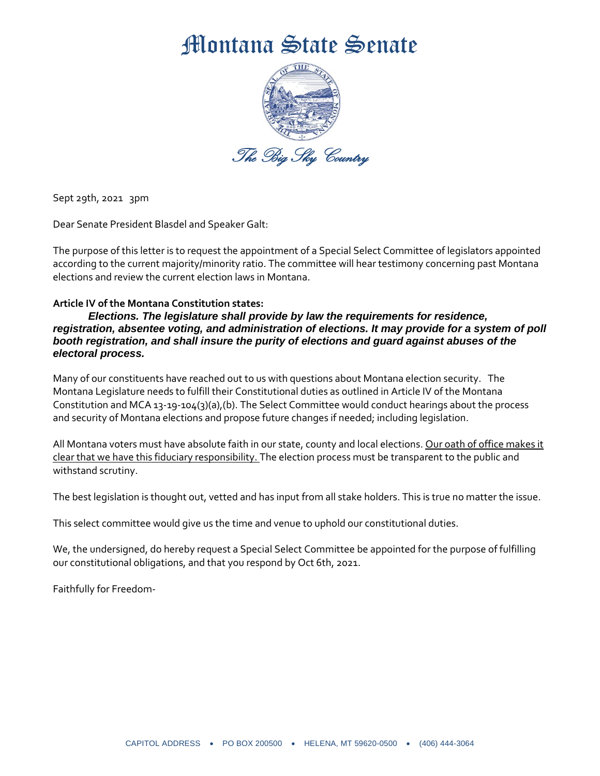## Montana State Senate



Sept 29th, 2021 3pm

Dear Senate President Blasdel and Speaker Galt:

The purpose of this letter is to request the appointment of a Special Select Committee of legislators appointed according to the current majority/minority ratio. The committee will hear testimony concerning past Montana elections and review the current election laws in Montana.

## **Article IV of the Montana Constitution states:**

*Elections. The legislature shall provide by law the requirements for residence, registration, absentee voting, and administration of elections. It may provide for a system of poll booth registration, and shall insure the purity of elections and guard against abuses of the electoral process.*

Many of our constituents have reached out to us with questions about Montana election security. The Montana Legislature needs to fulfill their Constitutional duties as outlined in Article IV of the Montana Constitution and MCA 13-19-104(3)(a),(b). The Select Committee would conduct hearings about the process and security of Montana elections and propose future changes if needed; including legislation.

All Montana voters must have absolute faith in our state, county and local elections. Our oath of office makes it clear that we have this fiduciary responsibility. The election process must be transparent to the public and withstand scrutiny.

The best legislation is thought out, vetted and has input from all stake holders. This is true no matter the issue.

This select committee would give us the time and venue to uphold our constitutional duties.

We, the undersigned, do hereby request a Special Select Committee be appointed for the purpose of fulfilling our constitutional obligations, and that you respond by Oct 6th, 2021.

Faithfully for Freedom-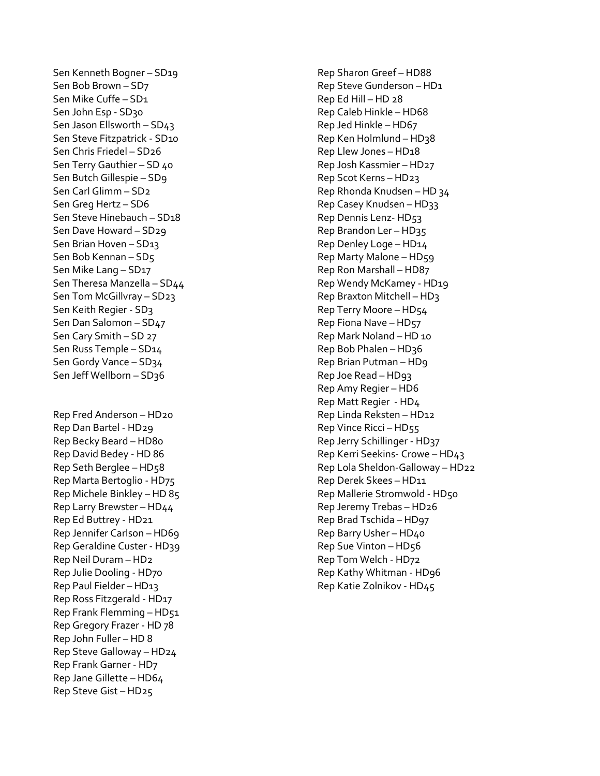Sen Kenneth Bogner – SD19 Sen Bob Brown – SD7 Sen Mike Cuffe – SD1 Sen John Esp - SD30 Sen Jason Ellsworth – SD43 Sen Steve Fitzpatrick - SD10 Sen Chris Friedel – SD26 Sen Terry Gauthier – SD 40 Sen Butch Gillespie – SD9 Sen Carl Glimm – SD2 Sen Greg Hertz – SD6 Sen Steve Hinebauch – SD18 Sen Dave Howard – SD29 Sen Brian Hoven – SD13 Sen Bob Kennan – SD5 Sen Mike Lang – SD17 Sen Theresa Manzella – SD44 Sen Tom McGillvray – SD23 Sen Keith Regier - SD3 Sen Dan Salomon – SD47 Sen Cary Smith – SD 27 Sen Russ Temple – SD14 Sen Gordy Vance – SD34 Sen Jeff Wellborn – SD36 Rep Fred Anderson – HD20 Rep Dan Bartel - HD29 Rep Becky Beard – HD80 Rep David Bedey - HD 86 Rep Seth Berglee – HD58 Rep Marta Bertoglio - HD75 Rep Michele Binkley – HD 85 Rep Larry Brewster – HD44 Rep Ed Buttrey - HD21 Rep Jennifer Carlson – HD69 Rep Geraldine Custer - HD39 Rep Neil Duram – HD2 Rep Julie Dooling - HD70 Rep Paul Fielder – HD13 Rep Ross Fitzgerald - HD17 Rep Frank Flemming – HD51 Rep Gregory Frazer - HD 78 Rep John Fuller – HD 8 Rep Steve Galloway – HD24 Rep Frank Garner - HD7 Rep Jane Gillette – HD64 Rep Steve Gist – HD25

Rep Sharon Greef – HD88 Rep Steve Gunderson – HD1 Rep Ed Hill – HD 28 Rep Caleb Hinkle – HD68 Rep Jed Hinkle – HD67 Rep Ken Holmlund – HD38 Rep Llew Jones – HD18 Rep Josh Kassmier – HD27 Rep Scot Kerns – HD23 Rep Rhonda Knudsen – HD 34 Rep Casey Knudsen – HD33 Rep Dennis Lenz- HD53 Rep Brandon Ler – HD35 Rep Denley Loge – HD14 Rep Marty Malone – HD59 Rep Ron Marshall – HD87 Rep Wendy McKamey - HD19 Rep Braxton Mitchell – HD3 Rep Terry Moore – HD54 Rep Fiona Nave – HD57 Rep Mark Noland – HD 10  $Rep Bob Phalen - HD36$ Rep Brian Putman – HD9 Rep Joe Read – HD93 Rep Amy Regier – HD6 Rep Matt Regier - HD4 Rep Linda Reksten – HD12 Rep Vince Ricci – HD55 Rep Jerry Schillinger - HD37 Rep Kerri Seekins- Crowe – HD43 Rep Lola Sheldon-Galloway – HD22 Rep Derek Skees – HD11 Rep Mallerie Stromwold - HD50 Rep Jeremy Trebas – HD26 Rep Brad Tschida – HD97 Rep Barry Usher – HD40 Rep Sue Vinton – HD56 Rep Tom Welch - HD72 Rep Kathy Whitman - HD96 Rep Katie Zolnikov - HD45